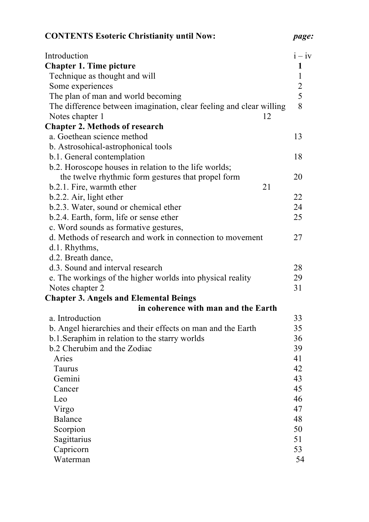| <b>CONTENTS Esoteric Christianity until Now:</b>                                                  | page:    |
|---------------------------------------------------------------------------------------------------|----------|
| Introduction                                                                                      | $i - iv$ |
| <b>Chapter 1. Time picture</b><br>1                                                               |          |
| 1<br>Technique as thought and will                                                                |          |
| $\overline{2}$<br>Some experiences                                                                |          |
| 5<br>The plan of man and world becoming                                                           |          |
| The difference between imagination, clear feeling and clear willing<br>8<br>Notes chapter 1<br>12 |          |
| <b>Chapter 2. Methods of research</b>                                                             |          |
| a. Goethean science method<br>13                                                                  |          |
| b. Astrosohical-astrophonical tools                                                               |          |
| b.1. General contemplation<br>18                                                                  |          |
| b.2. Horoscope houses in relation to the life worlds;                                             |          |
| the twelve rhythmic form gestures that propel form<br>20                                          |          |
| 21<br>b.2.1. Fire, warmth ether                                                                   |          |
| b.2.2. Air, light ether<br>22                                                                     |          |
| 24<br>b.2.3. Water, sound or chemical ether                                                       |          |
| b.2.4. Earth, form, life or sense ether<br>25                                                     |          |
| c. Word sounds as formative gestures,                                                             |          |
| d. Methods of research and work in connection to movement<br>27                                   |          |
| d.1. Rhythms,                                                                                     |          |
| d.2. Breath dance,                                                                                |          |
| d.3. Sound and interval research<br>28                                                            |          |
| e. The workings of the higher worlds into physical reality<br>29                                  |          |
| Notes chapter 2<br>31                                                                             |          |
| <b>Chapter 3. Angels and Elemental Beings</b>                                                     |          |
| in coherence with man and the Earth                                                               |          |
| a. Introduction<br>33                                                                             |          |
| 35<br>b. Angel hierarchies and their effects on man and the Earth                                 |          |
| 36<br>b.1. Seraphim in relation to the starry worlds                                              |          |
| b.2 Cherubim and the Zodiac<br>39                                                                 |          |
| Aries<br>41                                                                                       |          |
| 42<br>Taurus                                                                                      |          |
| 43<br>Gemini                                                                                      |          |
| 45<br>Cancer                                                                                      |          |
| Leo<br>46                                                                                         |          |
| Virgo<br>47                                                                                       |          |
| <b>Balance</b><br>48                                                                              |          |
| Scorpion<br>50                                                                                    |          |
| Sagittarius<br>51                                                                                 |          |
| Capricorn<br>53                                                                                   |          |
| 54<br>Waterman                                                                                    |          |